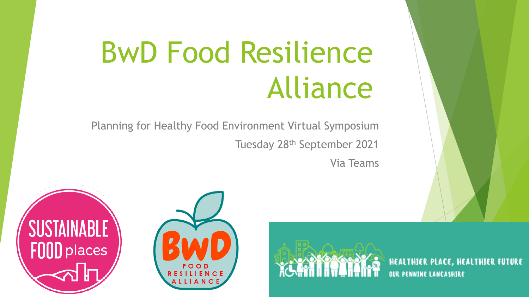# BwD Food Resilience Alliance

Planning for Healthy Food Environment Virtual Symposium Tuesday 28th September 2021

Via Teams





HEALTHIER PLACE, HEALTHIER FUTURE **OUR PENNINE LANCASHIRE**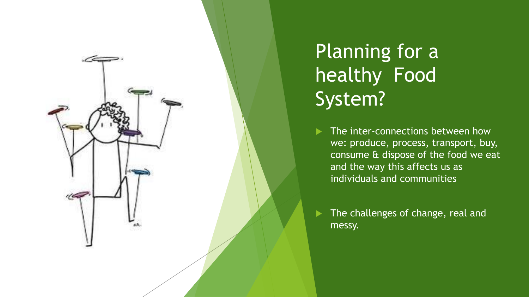

Planning for a healthy Food System?

- The inter-connections between how we: produce, process, transport, buy, consume & dispose of the food we eat and the way this affects us as individuals and communities
- The challenges of change, real and messy.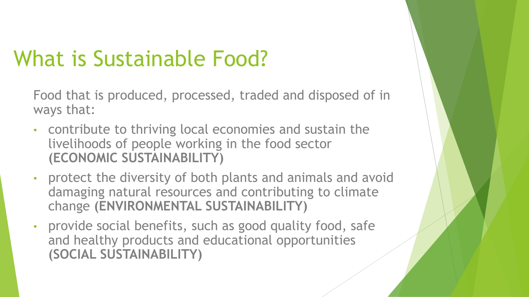## What is Sustainable Food?

Food that is produced, processed, traded and disposed of in ways that:

- contribute to thriving local economies and sustain the livelihoods of people working in the food sector **(ECONOMIC SUSTAINABILITY)**
- protect the diversity of both plants and animals and avoid damaging natural resources and contributing to climate change **(ENVIRONMENTAL SUSTAINABILITY)**
- provide social benefits, such as good quality food, safe and healthy products and educational opportunities **(SOCIAL SUSTAINABILITY)**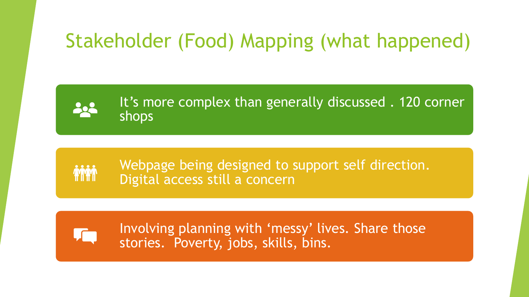### Stakeholder (Food) Mapping (what happened)

It's more complex than generally discussed . 120 corner shops

Webpage being designed to support self direction. Digital access still a concern

Involving planning with 'messy' lives. Share those stories. Poverty, jobs, skills, bins.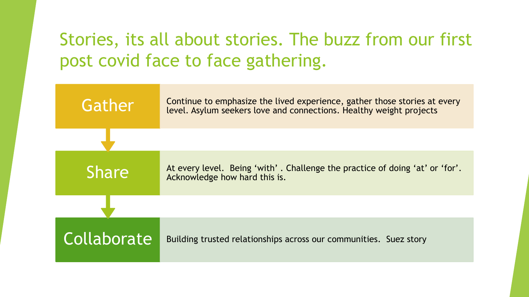### Stories, its all about stories. The buzz from our first post covid face to face gathering.

| Gather       | Continue to emphasize the lived experience, gather those stories at every<br>level. Asylum seekers love and connections. Healthy weight projects |
|--------------|--------------------------------------------------------------------------------------------------------------------------------------------------|
|              |                                                                                                                                                  |
| <b>Share</b> | At every level. Being 'with'. Challenge the practice of doing 'at' or 'for'.<br>Acknowledge how hard this is.                                    |
|              |                                                                                                                                                  |
| Collaborate  | Building trusted relationships across our communities. Suez story                                                                                |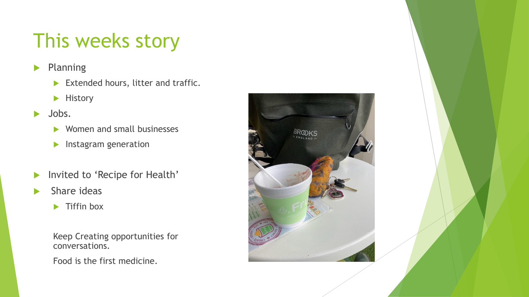### This weeks story

- $\blacktriangleright$  Planning
	- Extended hours, litter and traffic.
	- $\blacktriangleright$  History
- $\blacktriangleright$  Jobs.
	- ▶ Women and small businesses
	- $\blacktriangleright$  Instagram generation
- Invited to 'Recipe for Health'
- $\blacktriangleright$  Share ideas
	- $\blacktriangleright$  Tiffin box

Keep Creating opportunities for conversations.

Food is the first medicine.